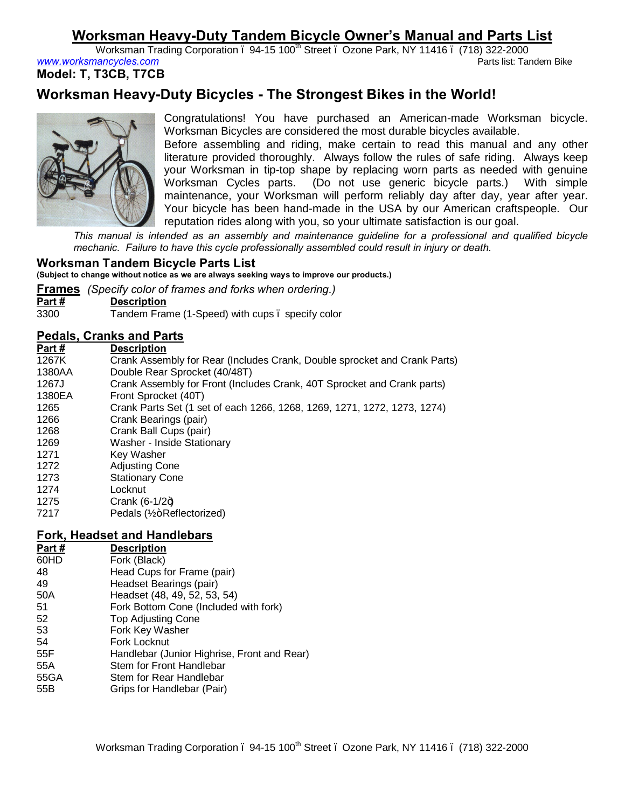# **Worksman Heavy-Duty Tandem Bicycle Owner's Manual and Parts List**

Worksman Trading Corporation – 94-15 100th Street – Ozone Park, NY 11416 – (718) 322-2000 www.worksmancycles.com

**Model: T, T3CB, T7CB**

# **Worksman Heavy-Duty Bicycles - The Strongest Bikes in the World!**



Congratulations! You have purchased an American-made Worksman bicycle. Worksman Bicycles are considered the most durable bicycles available.

Before assembling and riding, make certain to read this manual and any other literature provided thoroughly. Always follow the rules of safe riding. Always keep your Worksman in tip-top shape by replacing worn parts as needed with genuine Worksman Cycles parts. (Do not use generic bicycle parts.) With simple maintenance, your Worksman will perform reliably day after day, year after year. Your bicycle has been hand-made in the USA by our American craftspeople. Our reputation rides along with you, so your ultimate satisfaction is our goal.

*This manual is intended as an assembly and maintenance guideline for a professional and qualified bicycle mechanic. Failure to have this cycle professionally assembled could result in injury or death.*

# **Worksman Tandem Bicycle Parts List**

**(Subject to change without notice as we are always seeking ways to improve our products.)**

**Frames** *(Specify color of frames and forks when ordering.)*

| Part# |  | <b>Description</b> |
|-------|--|--------------------|

3300 Tandem Frame (1-Speed) with cups – specify color

# **Pedals, Cranks and Parts**

| Part#  | <b>Description</b>                                                        |
|--------|---------------------------------------------------------------------------|
| 1267K  | Crank Assembly for Rear (Includes Crank, Double sprocket and Crank Parts) |
| 1380AA | Double Rear Sprocket (40/48T)                                             |
| 1267J  | Crank Assembly for Front (Includes Crank, 40T Sprocket and Crank parts)   |
| 1380EA | Front Sprocket (40T)                                                      |
| 1265   | Crank Parts Set (1 set of each 1266, 1268, 1269, 1271, 1272, 1273, 1274)  |
| 1266   | Crank Bearings (pair)                                                     |
| 1268   | Crank Ball Cups (pair)                                                    |
| 1269   | Washer - Inside Stationary                                                |
| 1271   | Key Washer                                                                |
| 1272   | <b>Adjusting Cone</b>                                                     |
| 1273   | <b>Stationary Cone</b>                                                    |
| 1274   | Locknut                                                                   |
| 1275   | Crank $(6-1/2+)$                                                          |
| 7217   | Pedals (1/2+Reflectorized)                                                |

# **Fork, Headset and Handlebars**

| Part# | <b>Description</b>                          |
|-------|---------------------------------------------|
| 60HD  | Fork (Black)                                |
| 48    | Head Cups for Frame (pair)                  |
| 49    | Headset Bearings (pair)                     |
| 50A   | Headset (48, 49, 52, 53, 54)                |
| 51    | Fork Bottom Cone (Included with fork)       |
| 52    | <b>Top Adjusting Cone</b>                   |
| 53    | Fork Key Washer                             |
| 54    | Fork Locknut                                |
| 55F   | Handlebar (Junior Highrise, Front and Rear) |
| 55A   | Stem for Front Handlebar                    |
| 55GA  | Stem for Rear Handlebar                     |
| 55B   | Grips for Handlebar (Pair)                  |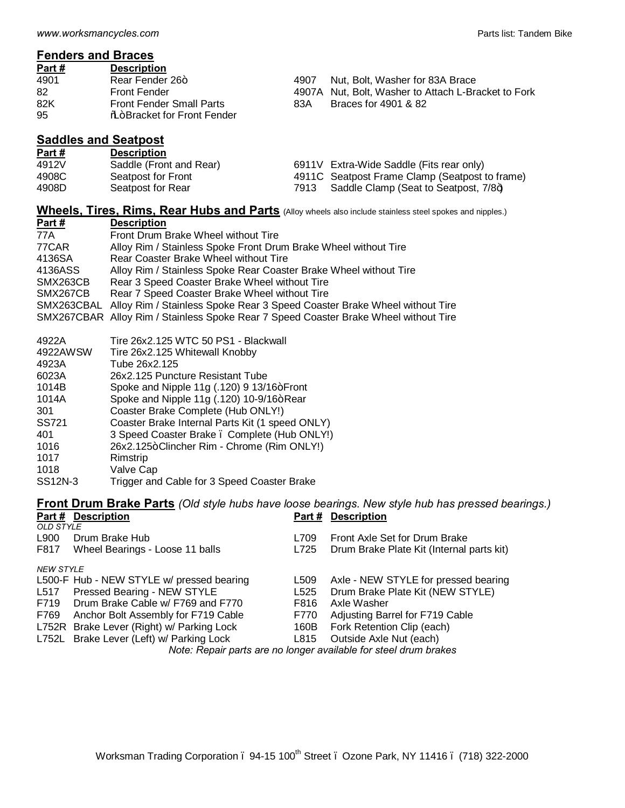# **Fenders and Braces**

| Part # | <b>Description</b>                 |      |                                                     |
|--------|------------------------------------|------|-----------------------------------------------------|
| 4901   | Rear Fender 26+                    | 4907 | Nut, Bolt, Washer for 83A Brace                     |
| 82     | <b>Front Fender</b>                |      | 4907A Nut. Bolt. Washer to Attach L-Bracket to Fork |
| 82K    | <b>Front Fender Small Parts</b>    | 83A  | Braces for 4901 & 82                                |
| 95     | <b>No+Bracket for Front Fender</b> |      |                                                     |

## **Saddles and Seatpost**

| Part# | <b>Description</b>      |      |                                                |
|-------|-------------------------|------|------------------------------------------------|
| 4912V | Saddle (Front and Rear) |      | 6911V Extra-Wide Saddle (Fits rear only)       |
| 4908C | Seatpost for Front      |      | 4911C Seatpost Frame Clamp (Seatpost to frame) |
| 4908D | Seatpost for Rear       | 7913 | Saddle Clamp (Seat to Seatpost, 7/8+)          |

# **Wheels, Tires, Rims, Rear Hubs and Parts** (Alloy wheels also include stainless steel spokes and nipples.)

| Part $#$   | <b>Description</b>                                                                   |
|------------|--------------------------------------------------------------------------------------|
| 77A        | Front Drum Brake Wheel without Tire                                                  |
| 77CAR      | Alloy Rim / Stainless Spoke Front Drum Brake Wheel without Tire                      |
| 4136SA     | Rear Coaster Brake Wheel without Tire                                                |
| 4136ASS    | Alloy Rim / Stainless Spoke Rear Coaster Brake Wheel without Tire                    |
| SMX263CB   | Rear 3 Speed Coaster Brake Wheel without Tire                                        |
| SMX267CB   | Rear 7 Speed Coaster Brake Wheel without Tire                                        |
| SMX263CBAL | Alloy Rim / Stainless Spoke Rear 3 Speed Coaster Brake Wheel without Tire            |
|            | SMX267CBAR Alloy Rim / Stainless Spoke Rear 7 Speed Coaster Brake Wheel without Tire |

### 4922A Tire 26x2.125 WTC 50 PS1 - Blackwall

- 4922AWSW Tire 26x2.125 Whitewall Knobby
- 4923A Tube 26x2.125
- 26x2.125 Puncture Resistant Tube
- 1014B Spoke and Nipple 11g (.120) 9 13/16+Front
- 1014A Spoke and Nipple 11g (.120) 10-9/16+Rear
- 301 Coaster Brake Complete (Hub ONLY!)
- SS721 Coaster Brake Internal Parts Kit (1 speed ONLY)
- 401 3 Speed Coaster Brake Complete (Hub ONLY!)
- 1016 26x2.125+Clincher Rim Chrome (Rim ONLY!)
- 1017 Rimstrip
- 1018 Valve Cap
- SS12N-3 Trigger and Cable for 3 Speed Coaster Brake

## **Front Drum Brake Parts** *(Old style hubs have loose bearings. New style hub has pressed bearings.)* **Part # Description Part # Description**

| <b>OLD STYLE</b>                                                 |                                           |      |                                           |  |
|------------------------------------------------------------------|-------------------------------------------|------|-------------------------------------------|--|
| L900                                                             | Drum Brake Hub                            | L709 | Front Axle Set for Drum Brake             |  |
| F817                                                             | Wheel Bearings - Loose 11 balls           | L725 | Drum Brake Plate Kit (Internal parts kit) |  |
| <b>NEW STYLE</b>                                                 |                                           |      |                                           |  |
|                                                                  | L500-F Hub - NEW STYLE w/ pressed bearing | L509 | Axle - NEW STYLE for pressed bearing      |  |
| L517                                                             | Pressed Bearing - NEW STYLE               | L525 | Drum Brake Plate Kit (NEW STYLE)          |  |
|                                                                  | F719 Drum Brake Cable w/ F769 and F770    | F816 | Axle Washer                               |  |
| F769                                                             | Anchor Bolt Assembly for F719 Cable       | F770 | Adjusting Barrel for F719 Cable           |  |
|                                                                  | L752R Brake Lever (Right) w/ Parking Lock | 160B | Fork Retention Clip (each)                |  |
|                                                                  | L752L Brake Lever (Left) w/ Parking Lock  |      | L815 Outside Axle Nut (each)              |  |
| Note: Repair parts are no longer available for steel drum brakes |                                           |      |                                           |  |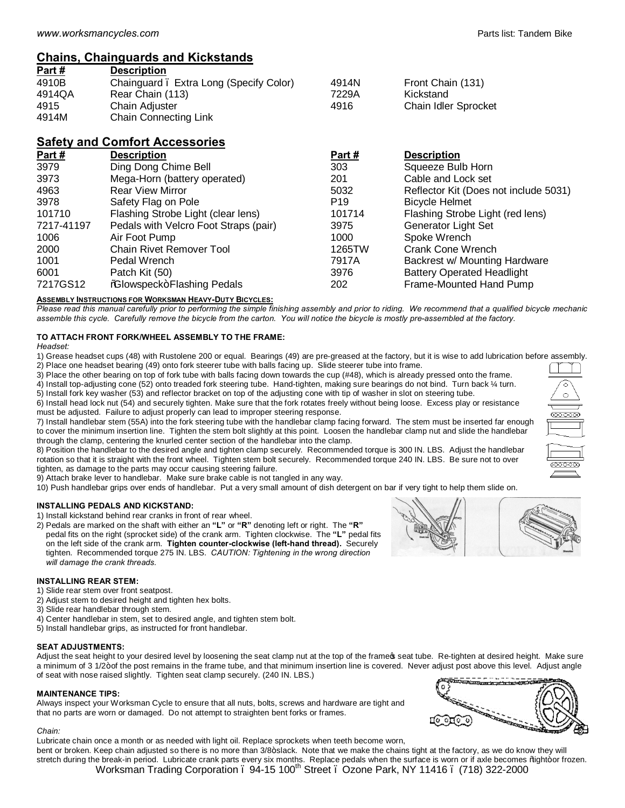# **Chains, Chainguards and Kickstands**

| Part # | <b>Description</b>                     |       |                      |
|--------|----------------------------------------|-------|----------------------|
| 4910B  | Chainguard. Extra Long (Specify Color) | 4914N | Front Chain (131)    |
| 4914QA | Rear Chain (113)                       | 7229A | Kickstand            |
| 4915   | Chain Adjuster                         | 4916  | Chain Idler Sprocket |
| 4914M  | <b>Chain Connecting Link</b>           |       |                      |

# **Safety and Comfort Accessories**

| Part #     | <b>Description</b>                    | Part#           | <b>Description</b>                    |
|------------|---------------------------------------|-----------------|---------------------------------------|
| 3979       | Ding Dong Chime Bell                  | 303             | Squeeze Bulb Horn                     |
| 3973       | Mega-Horn (battery operated)          | 201             | Cable and Lock set                    |
| 4963       | <b>Rear View Mirror</b>               | 5032            | Reflector Kit (Does not include 5031) |
| 3978       | Safety Flag on Pole                   | P <sub>19</sub> | <b>Bicycle Helmet</b>                 |
| 101710     | Flashing Strobe Light (clear lens)    | 101714          | Flashing Strobe Light (red lens)      |
| 7217-41197 | Pedals with Velcro Foot Straps (pair) | 3975            | <b>Generator Light Set</b>            |
| 1006       | Air Foot Pump                         | 1000            | Spoke Wrench                          |
| 2000       | <b>Chain Rivet Remover Tool</b>       | 1265TW          | Crank Cone Wrench                     |
| 1001       | Pedal Wrench                          | 7917A           | Backrest w/ Mounting Hardware         |
| 6001       | Patch Kit (50)                        | 3976            | <b>Battery Operated Headlight</b>     |
| 7217GS12   | %Glowspeck+Flashing Pedals            | 202             | Frame-Mounted Hand Pump               |

### **ASSEMBLY INSTRUCTIONS FOR WORKSMAN HEAVY-DUTY BICYCLES:**

*Please read this manual carefully prior to performing the simple finishing assembly and prior to riding. We recommend that a qualified bicycle mechanic assemble this cycle. Carefully remove the bicycle from the carton. You will notice the bicycle is mostly pre-assembled at the factory.*

## **TO ATTACH FRONT FORK/WHEEL ASSEMBLY TO THE FRAME:**

*Headset:*

1) Grease headset cups (48) with Rustolene 200 or equal. Bearings (49) are pre-greased at the factory, but it is wise to add lubrication before assembly. 2) Place one headset bearing (49) onto fork steerer tube with balls facing up. Slide steerer tube into frame.

3) Place the other bearing on top of fork tube with balls facing down towards the cup (#48), which is already pressed onto the frame. 4) Install top-adjusting cone (52) onto treaded fork steering tube. Hand-tighten, making sure bearings do not bind. Turn back ¼ turn.

5) Install fork key washer (53) and reflector bracket on top of the adjusting cone with tip of washer in slot on steering tube.

6) Install head lock nut (54) and securely tighten. Make sure that the fork rotates freely without being loose. Excess play or resistance must be adjusted. Failure to adjust properly can lead to improper steering response.

7) Install handlebar stem (55A) into the fork steering tube with the handlebar clamp facing forward. The stem must be inserted far enough to cover the minimum insertion line. Tighten the stem bolt slightly at this point. Loosen the handlebar clamp nut and slide the handlebar through the clamp, centering the knurled center section of the handlebar into the clamp.

8) Position the handlebar to the desired angle and tighten clamp securely. Recommended torque is 300 IN. LBS. Adjust the handlebar rotation so that it is straight with the front wheel. Tighten stem bolt securely. Recommended torque 240 IN. LBS. Be sure not to over tighten, as damage to the parts may occur causing steering failure.

9) Attach brake lever to handlebar. Make sure brake cable is not tangled in any way.

10) Push handlebar grips over ends of handlebar. Put a very small amount of dish detergent on bar if very tight to help them slide on.

### **INSTALLING PEDALS AND KICKSTAND:**

1) Install kickstand behind rear cranks in front of rear wheel.

2) Pedals are marked on the shaft with either an **"L"** or **"R"** denoting left or right. The **"R"** pedal fits on the right (sprocket side) of the crank arm. Tighten clockwise. The **"L"** pedal fits on the left side of the crank arm. **Tighten counter-clockwise (left-hand thread).** Securely tighten. Recommended torque 275 IN. LBS. *CAUTION: Tightening in the wrong direction will damage the crank threads.* 

### **INSTALLING REAR STEM:**

1) Slide rear stem over front seatpost.

- 2) Adjust stem to desired height and tighten hex bolts.
- 3) Slide rear handlebar through stem.
- 4) Center handlebar in stem, set to desired angle, and tighten stem bolt.
- 5) Install handlebar grips, as instructed for front handlebar.

### **SEAT ADJUSTMENTS:**

Adjust the seat height to your desired level by loosening the seat clamp nut at the top of the frame of seat tube. Re-tighten at desired height. Make sure a minimum of 3 1/2+of the post remains in the frame tube, and that minimum insertion line is covered. Never adjust post above this level. Adjust angle of seat with nose raised slightly. Tighten seat clamp securely. (240 IN. LBS.)

### **MAINTENANCE TIPS:**

Always inspect your Worksman Cycle to ensure that all nuts, bolts, screws and hardware are tight and that no parts are worn or damaged. Do not attempt to straighten bent forks or frames.

### *Chain:*

Lubricate chain once a month or as needed with light oil. Replace sprockets when teeth become worn, bent or broken. Keep chain adjusted so there is no more than 3/8+slack. Note that we make the chains tight at the factory, as we do know they will stretch during the break-in period. Lubricate crank parts every six months. Replace pedals when the surface is worn or if axle becomes % tight+or frozen.

Worksman Trading Corporation – 94-15 100<sup>th</sup> Street – Ozone Park, NY 11416 – (718) 322-2000